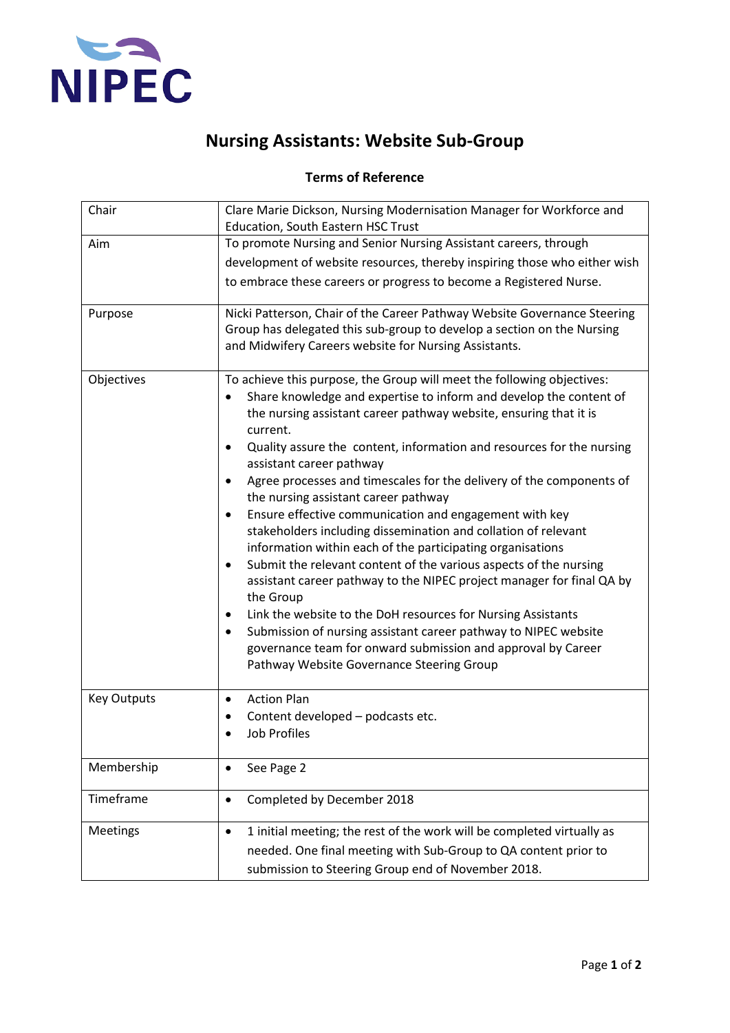

## **Nursing Assistants: Website Sub-Group**

## **Terms of Reference**

| Chair              | Clare Marie Dickson, Nursing Modernisation Manager for Workforce and<br>Education, South Eastern HSC Trust                                                                                                                                                                                                                                                                                                                                                                                                                                                                                                                                                                                                                                                                                                                                                                                                                                                                                                                                                                                                       |  |
|--------------------|------------------------------------------------------------------------------------------------------------------------------------------------------------------------------------------------------------------------------------------------------------------------------------------------------------------------------------------------------------------------------------------------------------------------------------------------------------------------------------------------------------------------------------------------------------------------------------------------------------------------------------------------------------------------------------------------------------------------------------------------------------------------------------------------------------------------------------------------------------------------------------------------------------------------------------------------------------------------------------------------------------------------------------------------------------------------------------------------------------------|--|
| Aim                | To promote Nursing and Senior Nursing Assistant careers, through<br>development of website resources, thereby inspiring those who either wish<br>to embrace these careers or progress to become a Registered Nurse.                                                                                                                                                                                                                                                                                                                                                                                                                                                                                                                                                                                                                                                                                                                                                                                                                                                                                              |  |
| Purpose            | Nicki Patterson, Chair of the Career Pathway Website Governance Steering<br>Group has delegated this sub-group to develop a section on the Nursing<br>and Midwifery Careers website for Nursing Assistants.                                                                                                                                                                                                                                                                                                                                                                                                                                                                                                                                                                                                                                                                                                                                                                                                                                                                                                      |  |
| Objectives         | To achieve this purpose, the Group will meet the following objectives:<br>Share knowledge and expertise to inform and develop the content of<br>the nursing assistant career pathway website, ensuring that it is<br>current.<br>Quality assure the content, information and resources for the nursing<br>$\bullet$<br>assistant career pathway<br>Agree processes and timescales for the delivery of the components of<br>$\bullet$<br>the nursing assistant career pathway<br>Ensure effective communication and engagement with key<br>$\bullet$<br>stakeholders including dissemination and collation of relevant<br>information within each of the participating organisations<br>Submit the relevant content of the various aspects of the nursing<br>$\bullet$<br>assistant career pathway to the NIPEC project manager for final QA by<br>the Group<br>Link the website to the DoH resources for Nursing Assistants<br>٠<br>Submission of nursing assistant career pathway to NIPEC website<br>governance team for onward submission and approval by Career<br>Pathway Website Governance Steering Group |  |
| <b>Key Outputs</b> | <b>Action Plan</b><br>٠<br>Content developed - podcasts etc.<br><b>Job Profiles</b>                                                                                                                                                                                                                                                                                                                                                                                                                                                                                                                                                                                                                                                                                                                                                                                                                                                                                                                                                                                                                              |  |
| Membership         | See Page 2<br>$\bullet$                                                                                                                                                                                                                                                                                                                                                                                                                                                                                                                                                                                                                                                                                                                                                                                                                                                                                                                                                                                                                                                                                          |  |
| Timeframe          | Completed by December 2018<br>$\bullet$                                                                                                                                                                                                                                                                                                                                                                                                                                                                                                                                                                                                                                                                                                                                                                                                                                                                                                                                                                                                                                                                          |  |
| Meetings           | 1 initial meeting; the rest of the work will be completed virtually as<br>$\bullet$<br>needed. One final meeting with Sub-Group to QA content prior to<br>submission to Steering Group end of November 2018.                                                                                                                                                                                                                                                                                                                                                                                                                                                                                                                                                                                                                                                                                                                                                                                                                                                                                                     |  |